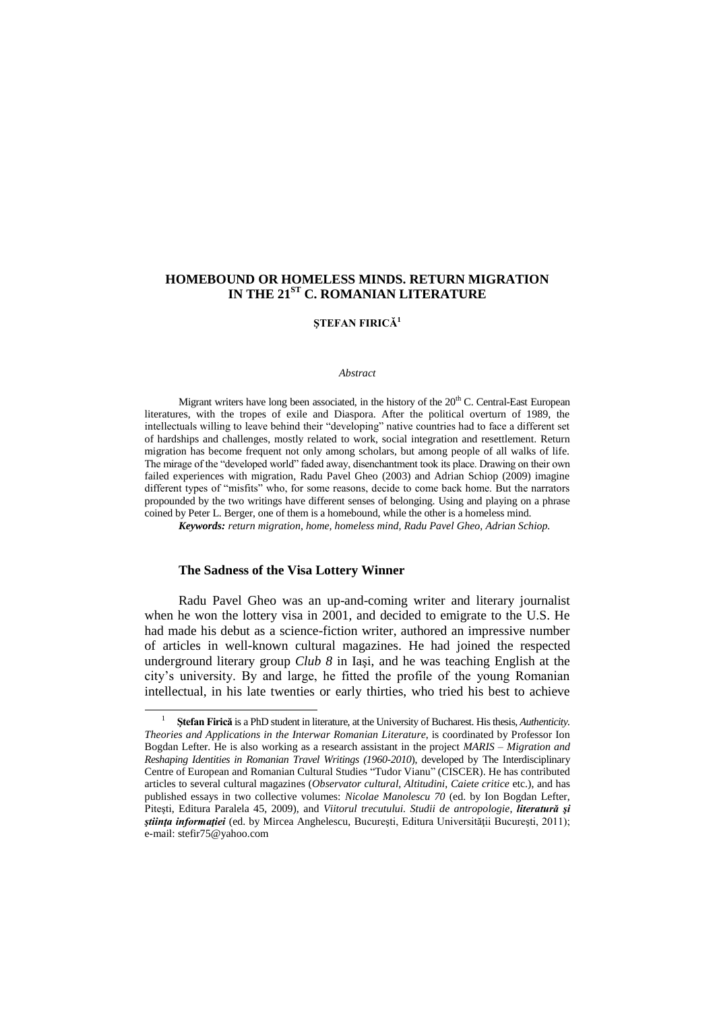# **HOMEBOUND OR HOMELESS MINDS. RETURN MIGRATION IN THE 21ST C. ROMANIAN LITERATURE**

## **ŞTEFAN FIRICĂ<sup>1</sup>**

#### *Abstract*

Migrant writers have long been associated, in the history of the 20<sup>th</sup> C. Central-East European literatures, with the tropes of exile and Diaspora. After the political overturn of 1989, the intellectuals willing to leave behind their "developing" native countries had to face a different set of hardships and challenges, mostly related to work, social integration and resettlement. Return migration has become frequent not only among scholars, but among people of all walks of life. The mirage of the "developed world" faded away, disenchantment took its place. Drawing on their own failed experiences with migration, Radu Pavel Gheo (2003) and Adrian Schiop (2009) imagine different types of "misfits" who, for some reasons, decide to come back home. But the narrators propounded by the two writings have different senses of belonging. Using and playing on a phrase coined by Peter L. Berger, one of them is a homebound, while the other is a homeless mind.

*Keywords: return migration, home, homeless mind, Radu Pavel Gheo, Adrian Schiop.*

### **The Sadness of the Visa Lottery Winner**

 $\overline{a}$ 

Radu Pavel Gheo was an up-and-coming writer and literary journalist when he won the lottery visa in 2001, and decided to emigrate to the U.S. He had made his debut as a science-fiction writer, authored an impressive number of articles in well-known cultural magazines. He had joined the respected underground literary group *Club 8* in Iaşi, and he was teaching English at the city"s university. By and large, he fitted the profile of the young Romanian intellectual, in his late twenties or early thirties, who tried his best to achieve

<sup>1</sup> **Ştefan Firică** is a PhD student in literature, at the University of Bucharest. His thesis, *Authenticity. Theories and Applications in the Interwar Romanian Literature*, is coordinated by Professor Ion Bogdan Lefter. He is also working as a research assistant in the project *MARIS – Migration and Reshaping Identities in Romanian Travel Writings (1960-2010*), developed by The Interdisciplinary Centre of European and Romanian Cultural Studies "Tudor Vianu" (CISCER). He has contributed articles to several cultural magazines (*Observator cultural*, *Altitudini*, *Caiete critice* etc.), and has published essays in two collective volumes: *Nicolae Manolescu 70* (ed. by Ion Bogdan Lefter, Piteşti, Editura Paralela 45, 2009), and *Viitorul trecutului. Studii de antropologie*, *literatură şi stiinta informatiei* (ed. by Mircea Anghelescu, București, Editura Universității București, 2011); e-mail: [stefir75@yahoo.com](mailto:stefir75@yahoo.com)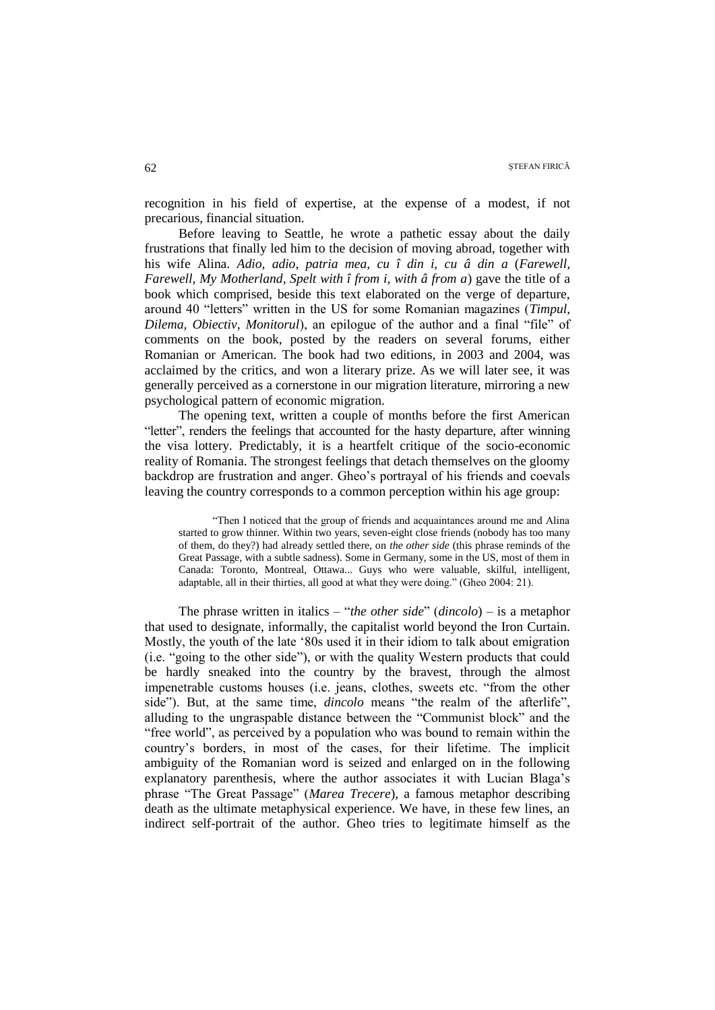recognition in his field of expertise, at the expense of a modest, if not precarious, financial situation.

Before leaving to Seattle, he wrote a pathetic essay about the daily frustrations that finally led him to the decision of moving abroad, together with his wife Alina. *Adio, adio, patria mea, cu î din i, cu â din a* (*Farewell, Farewell, My Motherland, Spelt with î from i, with â from a*) gave the title of a book which comprised, beside this text elaborated on the verge of departure, around 40 "letters" written in the US for some Romanian magazines (*Timpul, Dilema, Obiectiv, Monitorul*), an epilogue of the author and a final "file" of comments on the book, posted by the readers on several forums, either Romanian or American. The book had two editions, in 2003 and 2004, was acclaimed by the critics, and won a literary prize. As we will later see, it was generally perceived as a cornerstone in our migration literature, mirroring a new psychological pattern of economic migration.

The opening text, written a couple of months before the first American "letter", renders the feelings that accounted for the hasty departure, after winning the visa lottery. Predictably, it is a heartfelt critique of the socio-economic reality of Romania. The strongest feelings that detach themselves on the gloomy backdrop are frustration and anger. Gheo"s portrayal of his friends and coevals leaving the country corresponds to a common perception within his age group:

"Then I noticed that the group of friends and acquaintances around me and Alina started to grow thinner. Within two years, seven-eight close friends (nobody has too many of them, do they?) had already settled there, on *the other side* (this phrase reminds of the Great Passage, with a subtle sadness). Some in Germany, some in the US, most of them in Canada: Toronto, Montreal, Ottawa... Guys who were valuable, skilful, intelligent, adaptable, all in their thirties, all good at what they were doing." (Gheo 2004: 21).

The phrase written in italics – "*the other side*" (*dincolo*) – is a metaphor that used to designate, informally, the capitalist world beyond the Iron Curtain. Mostly, the youth of the late "80s used it in their idiom to talk about emigration (i.e. "going to the other side"), or with the quality Western products that could be hardly sneaked into the country by the bravest, through the almost impenetrable customs houses (i.e. jeans, clothes, sweets etc. "from the other side"). But, at the same time, *dincolo* means "the realm of the afterlife", alluding to the ungraspable distance between the "Communist block" and the "free world", as perceived by a population who was bound to remain within the country"s borders, in most of the cases, for their lifetime. The implicit ambiguity of the Romanian word is seized and enlarged on in the following explanatory parenthesis, where the author associates it with Lucian Blaga"s phrase "The Great Passage" (*Marea Trecere*), a famous metaphor describing death as the ultimate metaphysical experience. We have, in these few lines, an indirect self-portrait of the author. Gheo tries to legitimate himself as the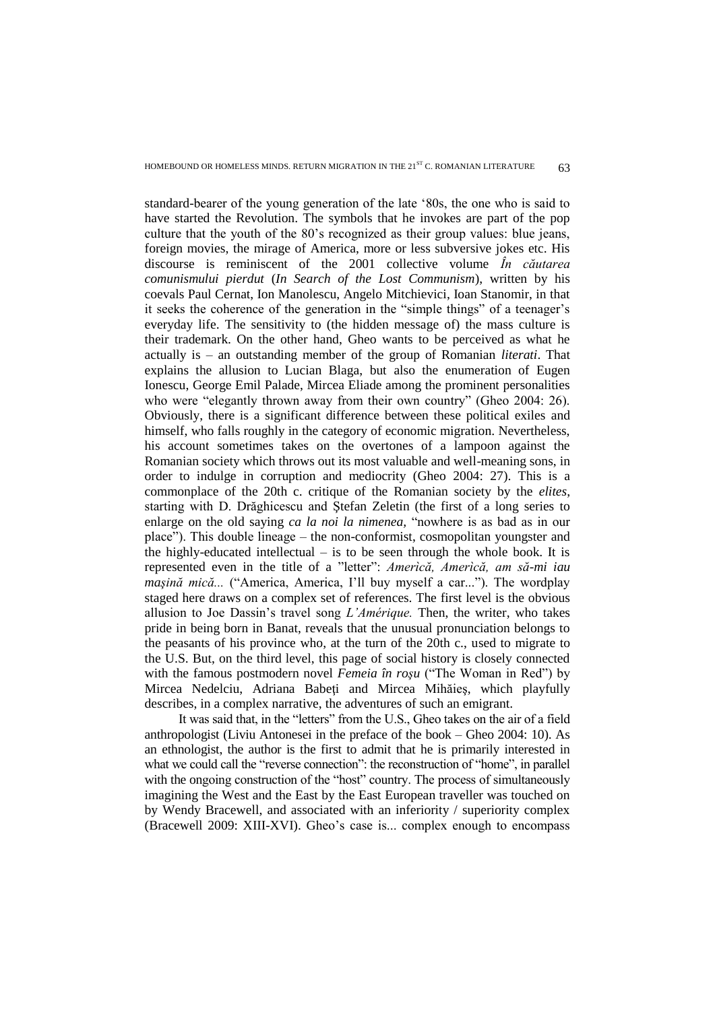standard-bearer of the young generation of the late "80s, the one who is said to have started the Revolution. The symbols that he invokes are part of the pop culture that the youth of the 80"s recognized as their group values: blue jeans, foreign movies, the mirage of America, more or less subversive jokes etc. His discourse is reminiscent of the 2001 collective volume *În căutarea comunismului pierdut* (*In Search of the Lost Communism*), written by his coevals Paul Cernat, Ion Manolescu, Angelo Mitchievici, Ioan Stanomir, in that it seeks the coherence of the generation in the "simple things" of a teenager"s everyday life. The sensitivity to (the hidden message of) the mass culture is their trademark. On the other hand, Gheo wants to be perceived as what he actually is – an outstanding member of the group of Romanian *literati*. That explains the allusion to Lucian Blaga, but also the enumeration of Eugen Ionescu, George Emil Palade, Mircea Eliade among the prominent personalities who were "elegantly thrown away from their own country" (Gheo 2004: 26). Obviously, there is a significant difference between these political exiles and himself, who falls roughly in the category of economic migration. Nevertheless, his account sometimes takes on the overtones of a lampoon against the Romanian society which throws out its most valuable and well-meaning sons, in order to indulge in corruption and mediocrity (Gheo 2004: 27). This is a commonplace of the 20th c. critique of the Romanian society by the *elites*, starting with D. Drăghicescu and Ştefan Zeletin (the first of a long series to enlarge on the old saying *ca la noi la nimenea,* "nowhere is as bad as in our place"). This double lineage – the non-conformist, cosmopolitan youngster and the highly-educated intellectual  $-$  is to be seen through the whole book. It is represented even in the title of a "letter": *Amerìcă, Amerìcă, am să-mi iau maşină mică...* ("America, America, I"ll buy myself a car..."). The wordplay staged here draws on a complex set of references. The first level is the obvious allusion to Joe Dassin"s travel song *L"Amérique.* Then, the writer, who takes pride in being born in Banat, reveals that the unusual pronunciation belongs to the peasants of his province who, at the turn of the 20th c., used to migrate to the U.S. But, on the third level, this page of social history is closely connected with the famous postmodern novel *Femeia în roşu* ("The Woman in Red") by Mircea Nedelciu, Adriana Babeţi and Mircea Mihăieş, which playfully describes, in a complex narrative, the adventures of such an emigrant.

It was said that, in the "letters" from the U.S., Gheo takes on the air of a field anthropologist (Liviu Antonesei in the preface of the book – Gheo 2004: 10). As an ethnologist, the author is the first to admit that he is primarily interested in what we could call the "reverse connection": the reconstruction of "home", in parallel with the ongoing construction of the "host" country. The process of simultaneously imagining the West and the East by the East European traveller was touched on by Wendy Bracewell, and associated with an inferiority / superiority complex (Bracewell 2009: XIII-XVI). Gheo"s case is... complex enough to encompass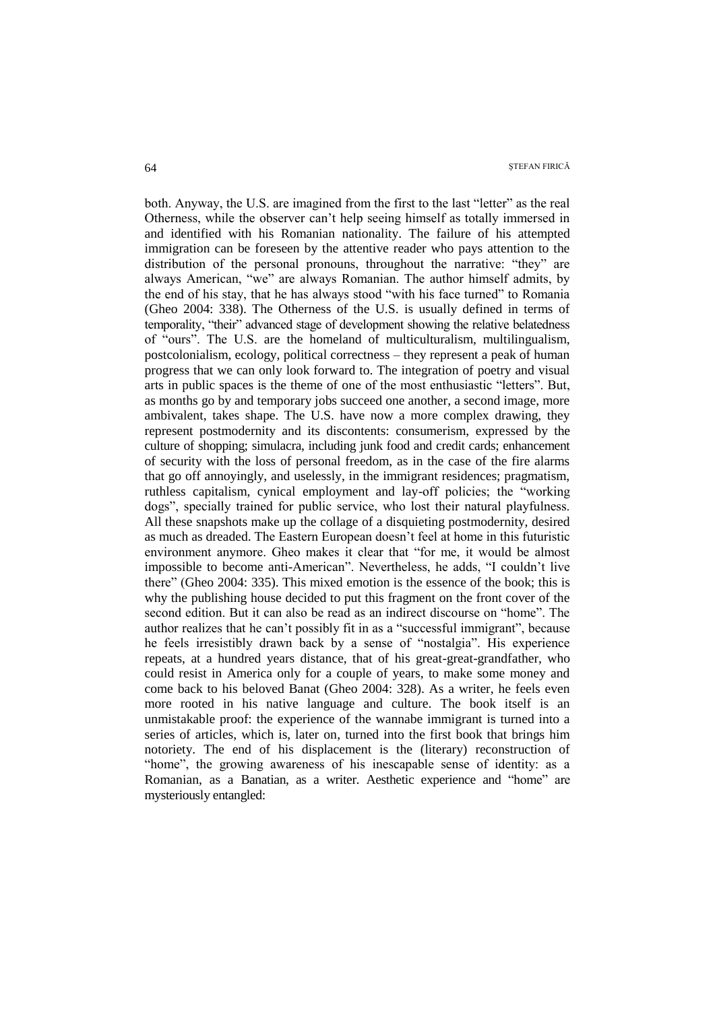both. Anyway, the U.S. are imagined from the first to the last "letter" as the real Otherness, while the observer can"t help seeing himself as totally immersed in and identified with his Romanian nationality. The failure of his attempted immigration can be foreseen by the attentive reader who pays attention to the distribution of the personal pronouns, throughout the narrative: "they" are always American, "we" are always Romanian. The author himself admits, by the end of his stay, that he has always stood "with his face turned" to Romania (Gheo 2004: 338). The Otherness of the U.S. is usually defined in terms of temporality, "their" advanced stage of development showing the relative belatedness of "ours". The U.S. are the homeland of multiculturalism, multilingualism, postcolonialism, ecology, political correctness – they represent a peak of human progress that we can only look forward to. The integration of poetry and visual arts in public spaces is the theme of one of the most enthusiastic "letters". But, as months go by and temporary jobs succeed one another, a second image, more ambivalent, takes shape. The U.S. have now a more complex drawing, they represent postmodernity and its discontents: consumerism, expressed by the culture of shopping; simulacra, including junk food and credit cards; enhancement of security with the loss of personal freedom, as in the case of the fire alarms that go off annoyingly, and uselessly, in the immigrant residences; pragmatism, ruthless capitalism, cynical employment and lay-off policies; the "working dogs", specially trained for public service, who lost their natural playfulness. All these snapshots make up the collage of a disquieting postmodernity, desired as much as dreaded. The Eastern European doesn"t feel at home in this futuristic environment anymore. Gheo makes it clear that "for me, it would be almost impossible to become anti-American". Nevertheless, he adds, "I couldn"t live there" (Gheo 2004: 335). This mixed emotion is the essence of the book; this is why the publishing house decided to put this fragment on the front cover of the second edition. But it can also be read as an indirect discourse on "home". The author realizes that he can't possibly fit in as a "successful immigrant", because he feels irresistibly drawn back by a sense of "nostalgia". His experience repeats, at a hundred years distance, that of his great-great-grandfather, who could resist in America only for a couple of years, to make some money and come back to his beloved Banat (Gheo 2004: 328). As a writer, he feels even more rooted in his native language and culture. The book itself is an unmistakable proof: the experience of the wannabe immigrant is turned into a series of articles, which is, later on, turned into the first book that brings him notoriety. The end of his displacement is the (literary) reconstruction of "home", the growing awareness of his inescapable sense of identity: as a Romanian, as a Banatian, as a writer. Aesthetic experience and "home" are mysteriously entangled: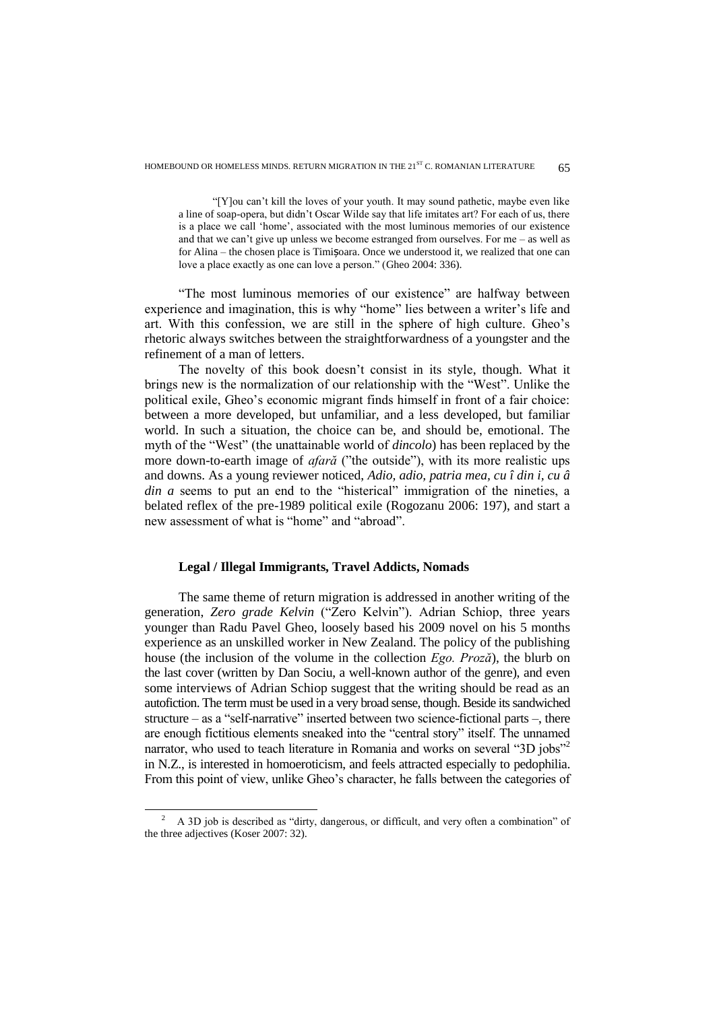"[Y]ou can"t kill the loves of your youth. It may sound pathetic, maybe even like a line of soap-opera, but didn"t Oscar Wilde say that life imitates art? For each of us, there is a place we call "home", associated with the most luminous memories of our existence and that we can't give up unless we become estranged from ourselves. For me  $-$  as well as for Alina – the chosen place is Timișoara. Once we understood it, we realized that one can love a place exactly as one can love a person." (Gheo 2004: 336).

"The most luminous memories of our existence" are halfway between experience and imagination, this is why "home" lies between a writer's life and art. With this confession, we are still in the sphere of high culture. Gheo"s rhetoric always switches between the straightforwardness of a youngster and the refinement of a man of letters.

The novelty of this book doesn"t consist in its style, though. What it brings new is the normalization of our relationship with the "West". Unlike the political exile, Gheo"s economic migrant finds himself in front of a fair choice: between a more developed, but unfamiliar, and a less developed, but familiar world. In such a situation, the choice can be, and should be, emotional. The myth of the "West" (the unattainable world of *dincolo*) has been replaced by the more down-to-earth image of *afară* ("the outside"), with its more realistic ups and downs. As a young reviewer noticed, *Adio, adio, patria mea, cu î din i, cu â din a* seems to put an end to the "histerical" immigration of the nineties, a belated reflex of the pre-1989 political exile (Rogozanu 2006: 197), and start a new assessment of what is "home" and "abroad".

### **Legal / Illegal Immigrants, Travel Addicts, Nomads**

The same theme of return migration is addressed in another writing of the generation, *Zero grade Kelvin* ("Zero Kelvin"). Adrian Schiop, three years younger than Radu Pavel Gheo, loosely based his 2009 novel on his 5 months experience as an unskilled worker in New Zealand. The policy of the publishing house (the inclusion of the volume in the collection *Ego. Proză*), the blurb on the last cover (written by Dan Sociu, a well-known author of the genre), and even some interviews of Adrian Schiop suggest that the writing should be read as an autofiction. The term must be used in a very broad sense, though. Beside its sandwiched structure – as a "self-narrative" inserted between two science-fictional parts –, there are enough fictitious elements sneaked into the "central story" itself. The unnamed narrator, who used to teach literature in Romania and works on several "3D jobs"<sup>2</sup> in N.Z., is interested in homoeroticism, and feels attracted especially to pedophilia. From this point of view, unlike Gheo"s character, he falls between the categories of

 $\overline{a}$ 

<sup>2</sup> A 3D job is described as "dirty, dangerous, or difficult, and very often a combination" of the three adjectives (Koser 2007: 32).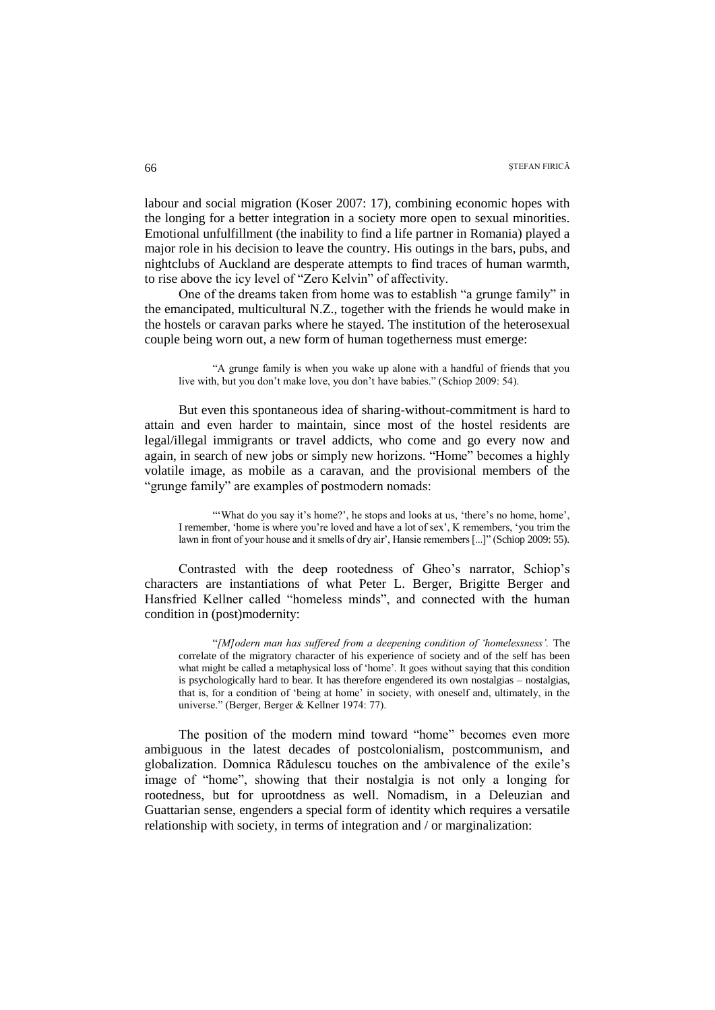labour and social migration (Koser 2007: 17), combining economic hopes with the longing for a better integration in a society more open to sexual minorities. Emotional unfulfillment (the inability to find a life partner in Romania) played a major role in his decision to leave the country. His outings in the bars, pubs, and nightclubs of Auckland are desperate attempts to find traces of human warmth, to rise above the icy level of "Zero Kelvin" of affectivity.

One of the dreams taken from home was to establish "a grunge family" in the emancipated, multicultural N.Z., together with the friends he would make in the hostels or caravan parks where he stayed. The institution of the heterosexual couple being worn out, a new form of human togetherness must emerge:

"A grunge family is when you wake up alone with a handful of friends that you live with, but you don"t make love, you don"t have babies." (Schiop 2009: 54).

But even this spontaneous idea of sharing-without-commitment is hard to attain and even harder to maintain, since most of the hostel residents are legal/illegal immigrants or travel addicts, who come and go every now and again, in search of new jobs or simply new horizons. "Home" becomes a highly volatile image, as mobile as a caravan, and the provisional members of the "grunge family" are examples of postmodern nomads:

""What do you say it's home?', he stops and looks at us, 'there's no home, home', I remember, "home is where you"re loved and have a lot of sex", K remembers, "you trim the lawn in front of your house and it smells of dry air', Hansie remembers [...]" (Schiop 2009: 55).

Contrasted with the deep rootedness of Gheo"s narrator, Schiop"s characters are instantiations of what Peter L. Berger, Brigitte Berger and Hansfried Kellner called "homeless minds", and connected with the human condition in (post)modernity:

"*[M]odern man has suffered from a deepening condition of "homelessness".* The correlate of the migratory character of his experience of society and of the self has been what might be called a metaphysical loss of 'home'. It goes without saying that this condition is psychologically hard to bear. It has therefore engendered its own nostalgias – nostalgias, that is, for a condition of "being at home" in society, with oneself and, ultimately, in the universe." (Berger, Berger & Kellner 1974: 77).

The position of the modern mind toward "home" becomes even more ambiguous in the latest decades of postcolonialism, postcommunism, and globalization. Domnica Rădulescu touches on the ambivalence of the exile"s image of "home", showing that their nostalgia is not only a longing for rootedness, but for uprootdness as well. Nomadism, in a Deleuzian and Guattarian sense, engenders a special form of identity which requires a versatile relationship with society, in terms of integration and / or marginalization: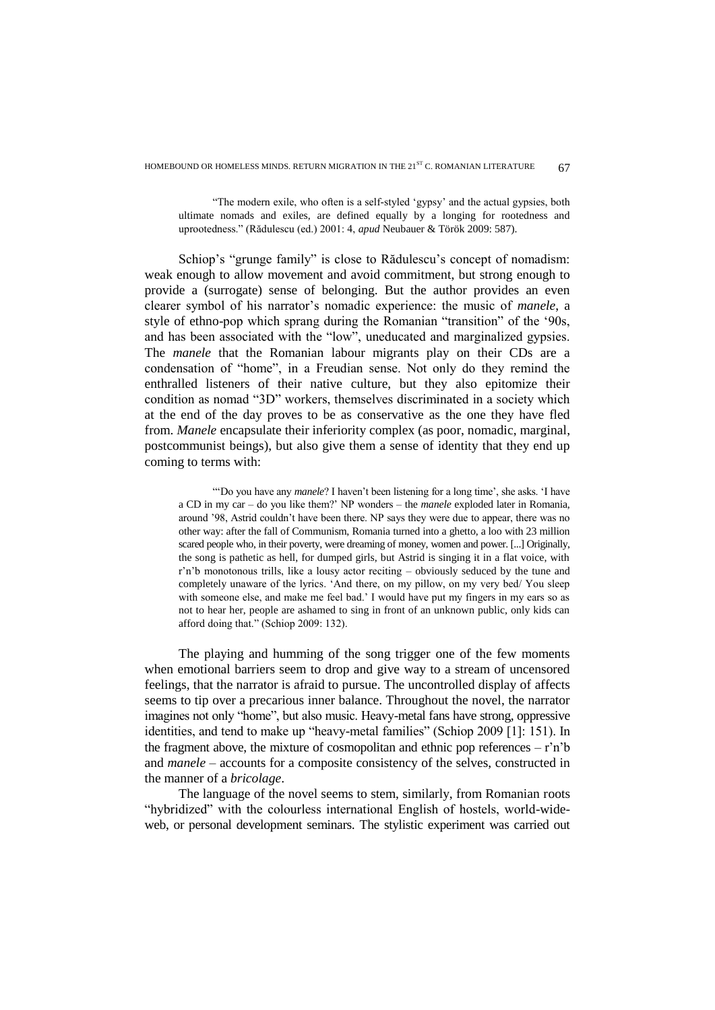"The modern exile, who often is a self-styled "gypsy" and the actual gypsies, both ultimate nomads and exiles, are defined equally by a longing for rootedness and uprootedness." (Rădulescu (ed.) 2001: 4, *apud* Neubauer & Török 2009: 587).

Schiop's "grunge family" is close to Rădulescu's concept of nomadism: weak enough to allow movement and avoid commitment, but strong enough to provide a (surrogate) sense of belonging. But the author provides an even clearer symbol of his narrator"s nomadic experience: the music of *manele*, a style of ethno-pop which sprang during the Romanian "transition" of the "90s, and has been associated with the "low", uneducated and marginalized gypsies. The *manele* that the Romanian labour migrants play on their CDs are a condensation of "home", in a Freudian sense. Not only do they remind the enthralled listeners of their native culture, but they also epitomize their condition as nomad "3D" workers, themselves discriminated in a society which at the end of the day proves to be as conservative as the one they have fled from. *Manele* encapsulate their inferiority complex (as poor, nomadic, marginal, postcommunist beings), but also give them a sense of identity that they end up coming to terms with:

"Do you have any *manele*? I haven't been listening for a long time', she asks. 'I have a CD in my car – do you like them?" NP wonders – the *manele* exploded later in Romania, around "98, Astrid couldn"t have been there. NP says they were due to appear, there was no other way: after the fall of Communism, Romania turned into a ghetto, a loo with 23 million scared people who, in their poverty, were dreaming of money, women and power. [...] Originally, the song is pathetic as hell, for dumped girls, but Astrid is singing it in a flat voice, with r'n'b monotonous trills, like a lousy actor reciting - obviously seduced by the tune and completely unaware of the lyrics. "And there, on my pillow, on my very bed/ You sleep with someone else, and make me feel bad." I would have put my fingers in my ears so as not to hear her, people are ashamed to sing in front of an unknown public, only kids can afford doing that." (Schiop 2009: 132).

The playing and humming of the song trigger one of the few moments when emotional barriers seem to drop and give way to a stream of uncensored feelings, that the narrator is afraid to pursue. The uncontrolled display of affects seems to tip over a precarious inner balance. Throughout the novel, the narrator imagines not only "home", but also music. Heavy-metal fans have strong, oppressive identities, and tend to make up "heavy-metal families" (Schiop 2009 [1]: 151). In the fragment above, the mixture of cosmopolitan and ethnic pop references  $-r\dot{n}$ <sup>b</sup> and *manele* – accounts for a composite consistency of the selves, constructed in the manner of a *bricolage*.

The language of the novel seems to stem, similarly, from Romanian roots "hybridized" with the colourless international English of hostels, world-wideweb, or personal development seminars. The stylistic experiment was carried out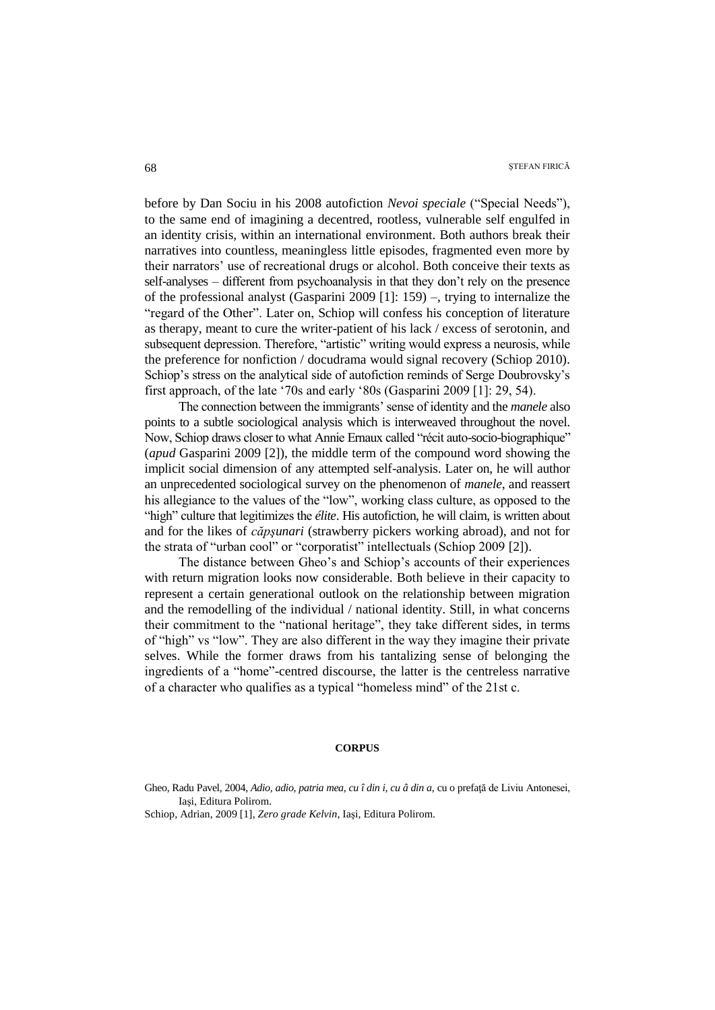before by Dan Sociu in his 2008 autofiction *Nevoi speciale* ("Special Needs"), to the same end of imagining a decentred, rootless, vulnerable self engulfed in an identity crisis, within an international environment. Both authors break their narratives into countless, meaningless little episodes, fragmented even more by their narrators" use of recreational drugs or alcohol. Both conceive their texts as self-analyses – different from psychoanalysis in that they don"t rely on the presence of the professional analyst (Gasparini 2009 [1]: 159) –, trying to internalize the "regard of the Other". Later on, Schiop will confess his conception of literature as therapy, meant to cure the writer-patient of his lack / excess of serotonin, and subsequent depression. Therefore, "artistic" writing would express a neurosis, while the preference for nonfiction / docudrama would signal recovery (Schiop 2010). Schiop's stress on the analytical side of autofiction reminds of Serge Doubrovsky's first approach, of the late "70s and early "80s (Gasparini 2009 [1]: 29, 54).

The connection between the immigrants" sense of identity and the *manele* also points to a subtle sociological analysis which is interweaved throughout the novel. Now, Schiop draws closer to what Annie Ernaux called "récit auto-socio-biographique" (*apud* Gasparini 2009 [2]), the middle term of the compound word showing the implicit social dimension of any attempted self-analysis. Later on, he will author an unprecedented sociological survey on the phenomenon of *manele*, and reassert his allegiance to the values of the "low", working class culture, as opposed to the "high" culture that legitimizes the *élite*. His autofiction, he will claim, is written about and for the likes of *căpşunari* (strawberry pickers working abroad), and not for the strata of "urban cool" or "corporatist" intellectuals (Schiop 2009 [2]).

The distance between Gheo"s and Schiop"s accounts of their experiences with return migration looks now considerable. Both believe in their capacity to represent a certain generational outlook on the relationship between migration and the remodelling of the individual / national identity. Still, in what concerns their commitment to the "national heritage", they take different sides, in terms of "high" vs "low". They are also different in the way they imagine their private selves. While the former draws from his tantalizing sense of belonging the ingredients of a "home"-centred discourse, the latter is the centreless narrative of a character who qualifies as a typical "homeless mind" of the 21st c.

#### **CORPUS**

Gheo, Radu Pavel, 2004, *Adio, adio, patria mea, cu î din i, cu â din a*, cu o prefață de Liviu Antonesei, Iaşi, Editura Polirom.

Schiop, Adrian, 2009 [1], *Zero grade Kelvin*, Iaşi, Editura Polirom.